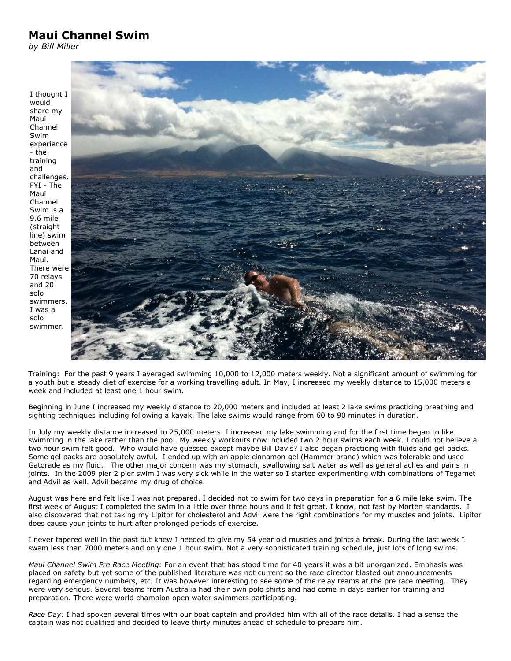## **Maui Channel Swim**

*by Bill Miller*



Training: For the past 9 years I averaged swimming 10,000 to 12,000 meters weekly. Not a significant amount of swimming for a youth but a steady diet of exercise for a working travelling adult. In May, I increased my weekly distance to 15,000 meters a week and included at least one 1 hour swim.

Beginning in June I increased my weekly distance to 20,000 meters and included at least 2 lake swims practicing breathing and sighting techniques including following a kayak. The lake swims would range from 60 to 90 minutes in duration.

In July my weekly distance increased to 25,000 meters. I increased my lake swimming and for the first time began to like swimming in the lake rather than the pool. My weekly workouts now included two 2 hour swims each week. I could not believe a two hour swim felt good. Who would have guessed except maybe Bill Davis? I also began practicing with fluids and gel packs. Some gel packs are absolutely awful. I ended up with an apple cinnamon gel (Hammer brand) which was tolerable and used Gatorade as my fluid. The other major concern was my stomach, swallowing salt water as well as general aches and pains in joints. In the 2009 pier 2 pier swim I was very sick while in the water so I started experimenting with combinations of Tegamet and Advil as well. Advil became my drug of choice.

August was here and felt like I was not prepared. I decided not to swim for two days in preparation for a 6 mile lake swim. The first week of August I completed the swim in a little over three hours and it felt great. I know, not fast by Morten standards. I also discovered that not taking my Lipitor for cholesterol and Advil were the right combinations for my muscles and joints. Lipitor does cause your joints to hurt after prolonged periods of exercise.

I never tapered well in the past but knew I needed to give my 54 year old muscles and joints a break. During the last week I swam less than 7000 meters and only one 1 hour swim. Not a very sophisticated training schedule, just lots of long swims.

*Maui Channel Swim Pre Race Meeting:* For an event that has stood time for 40 years it was a bit unorganized. Emphasis was placed on safety but yet some of the published literature was not current so the race director blasted out announcements regarding emergency numbers, etc. It was however interesting to see some of the relay teams at the pre race meeting. They were very serious. Several teams from Australia had their own polo shirts and had come in days earlier for training and preparation. There were world champion open water swimmers participating.

*Race Day:* I had spoken several times with our boat captain and provided him with all of the race details. I had a sense the captain was not qualified and decided to leave thirty minutes ahead of schedule to prepare him.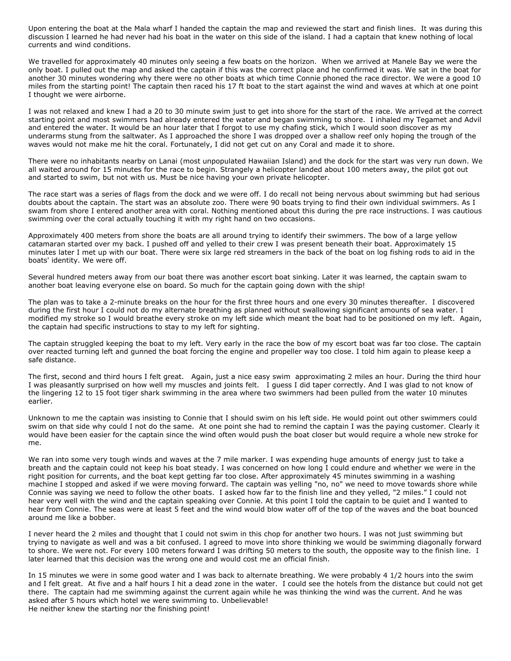Upon entering the boat at the Mala wharf I handed the captain the map and reviewed the start and finish lines. It was during this discussion I learned he had never had his boat in the water on this side of the island. I had a captain that knew nothing of local currents and wind conditions.

We travelled for approximately 40 minutes only seeing a few boats on the horizon. When we arrived at Manele Bay we were the only boat. I pulled out the map and asked the captain if this was the correct place and he confirmed it was. We sat in the boat for another 30 minutes wondering why there were no other boats at which time Connie phoned the race director. We were a good 10 miles from the starting point! The captain then raced his 17 ft boat to the start against the wind and waves at which at one point I thought we were airborne.

I was not relaxed and knew I had a 20 to 30 minute swim just to get into shore for the start of the race. We arrived at the correct starting point and most swimmers had already entered the water and began swimming to shore. I inhaled my Tegamet and Advil and entered the water. It would be an hour later that I forgot to use my chafing stick, which I would soon discover as my underarms stung from the saltwater. As I approached the shore I was dropped over a shallow reef only hoping the trough of the waves would not make me hit the coral. Fortunately, I did not get cut on any Coral and made it to shore.

There were no inhabitants nearby on Lanai (most unpopulated Hawaiian Island) and the dock for the start was very run down. We all waited around for 15 minutes for the race to begin. Strangely a helicopter landed about 100 meters away, the pilot got out and started to swim, but not with us. Must be nice having your own private helicopter.

The race start was a series of flags from the dock and we were off. I do recall not being nervous about swimming but had serious doubts about the captain. The start was an absolute zoo. There were 90 boats trying to find their own individual swimmers. As I swam from shore I entered another area with coral. Nothing mentioned about this during the pre race instructions. I was cautious swimming over the coral actually touching it with my right hand on two occasions.

Approximately 400 meters from shore the boats are all around trying to identify their swimmers. The bow of a large yellow catamaran started over my back. I pushed off and yelled to their crew I was present beneath their boat. Approximately 15 minutes later I met up with our boat. There were six large red streamers in the back of the boat on log fishing rods to aid in the boats' identity. We were off.

Several hundred meters away from our boat there was another escort boat sinking. Later it was learned, the captain swam to another boat leaving everyone else on board. So much for the captain going down with the ship!

The plan was to take a 2-minute breaks on the hour for the first three hours and one every 30 minutes thereafter. I discovered during the first hour I could not do my alternate breathing as planned without swallowing significant amounts of sea water. I modified my stroke so I would breathe every stroke on my left side which meant the boat had to be positioned on my left. Again, the captain had specific instructions to stay to my left for sighting.

The captain struggled keeping the boat to my left. Very early in the race the bow of my escort boat was far too close. The captain over reacted turning left and gunned the boat forcing the engine and propeller way too close. I told him again to please keep a safe distance.

The first, second and third hours I felt great. Again, just a nice easy swim approximating 2 miles an hour. During the third hour I was pleasantly surprised on how well my muscles and joints felt. I guess I did taper correctly. And I was glad to not know of the lingering 12 to 15 foot tiger shark swimming in the area where two swimmers had been pulled from the water 10 minutes earlier.

Unknown to me the captain was insisting to Connie that I should swim on his left side. He would point out other swimmers could swim on that side why could I not do the same. At one point she had to remind the captain I was the paying customer. Clearly it would have been easier for the captain since the wind often would push the boat closer but would require a whole new stroke for me.

We ran into some very tough winds and waves at the 7 mile marker. I was expending huge amounts of energy just to take a breath and the captain could not keep his boat steady. I was concerned on how long I could endure and whether we were in the right position for currents, and the boat kept getting far too close. After approximately 45 minutes swimming in a washing machine I stopped and asked if we were moving forward. The captain was yelling "no, no" we need to move towards shore while Connie was saying we need to follow the other boats. I asked how far to the finish line and they yelled, "2 miles." I could not hear very well with the wind and the captain speaking over Connie. At this point I told the captain to be quiet and I wanted to hear from Connie. The seas were at least 5 feet and the wind would blow water off of the top of the waves and the boat bounced around me like a bobber.

I never heard the 2 miles and thought that I could not swim in this chop for another two hours. I was not just swimming but trying to navigate as well and was a bit confused. I agreed to move into shore thinking we would be swimming diagonally forward to shore. We were not. For every 100 meters forward I was drifting 50 meters to the south, the opposite way to the finish line. I later learned that this decision was the wrong one and would cost me an official finish.

In 15 minutes we were in some good water and I was back to alternate breathing. We were probably 4 1/2 hours into the swim and I felt great. At five and a half hours I hit a dead zone in the water. I could see the hotels from the distance but could not get there. The captain had me swimming against the current again while he was thinking the wind was the current. And he was asked after 5 hours which hotel we were swimming to. Unbelievable! He neither knew the starting nor the finishing point!